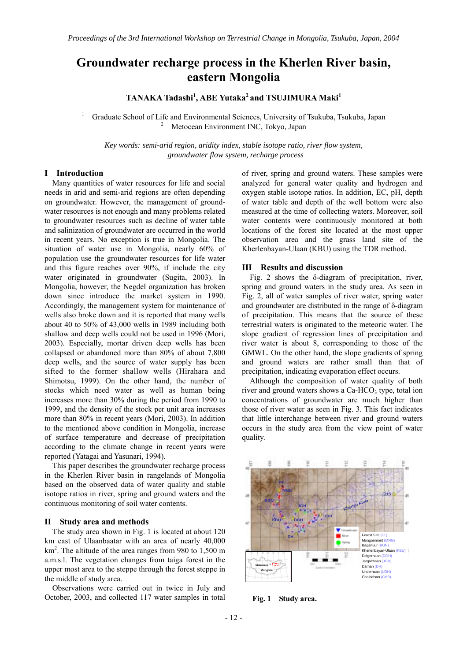# **Groundwater recharge process in the Kherlen River basin, eastern Mongolia**

**TANAKA Tadashi<sup>1</sup> , ABE Yutaka2 and TSUJIMURA Maki1**

1 Graduate School of Life and Environmental Sciences, University of Tsukuba, Tsukuba, Japan 2 Metocean Environment INC, Tokyo, Japan

*Key words: semi-arid region, aridity index, stable isotope ratio, river flow system, groundwater flow system, recharge process* 

#### **I Introduction**

Many quantities of water resources for life and social needs in arid and semi-arid regions are often depending on groundwater. However, the management of groundwater resources is not enough and many problems related to groundwater resources such as decline of water table and salinization of groundwater are occurred in the world in recent years. No exception is true in Mongolia. The situation of water use in Mongolia, nearly 60% of population use the groundwater resources for life water and this figure reaches over 90%, if include the city water originated in groundwater (Sugita, 2003). In Mongolia, however, the Negdel organization has broken down since introduce the market system in 1990. Accordingly, the management system for maintenance of wells also broke down and it is reported that many wells about 40 to 50% of 43,000 wells in 1989 including both shallow and deep wells could not be used in 1996 (Mori, 2003). Especially, mortar driven deep wells has been collapsed or abandoned more than 80% of about 7,800 deep wells, and the source of water supply has been sifted to the former shallow wells (Hirahara and Shimotsu, 1999). On the other hand, the number of stocks which need water as well as human being increases more than 30% during the period from 1990 to 1999, and the density of the stock per unit area increases more than 80% in recent years (Mori, 2003). In addition to the mentioned above condition in Mongolia, increase of surface temperature and decrease of precipitation according to the climate change in recent years were reported (Yatagai and Yasunari, 1994).

This paper describes the groundwater recharge process in the Kherlen River basin in rangelands of Mongolia based on the observed data of water quality and stable isotope ratios in river, spring and ground waters and the continuous monitoring of soil water contents.

### **II Study area and methods**

 The study area shown in Fig. 1 is located at about 120 km east of Ulaanbaatar with an area of nearly 40,000 km<sup>2</sup>. The altitude of the area ranges from 980 to 1,500 m a.m.s.l. The vegetation changes from taiga forest in the upper most area to the steppe through the forest steppe in the middle of study area.

 Observations were carried out in twice in July and October, 2003, and collected 117 water samples in total

of river, spring and ground waters. These samples were analyzed for general water quality and hydrogen and oxygen stable isotope ratios. In addition, EC, pH, depth of water table and depth of the well bottom were also measured at the time of collecting waters. Moreover, soil water contents were continuously monitored at both locations of the forest site located at the most upper observation area and the grass land site of the Kherlenbayan-Ulaan (KBU) using the TDR method.

#### **III Results and discussion**

 Fig. 2 shows the δ-diagram of precipitation, river, spring and ground waters in the study area. As seen in Fig. 2, all of water samples of river water, spring water and groundwater are distributed in the range of δ-diagram of precipitation. This means that the source of these terrestrial waters is originated to the meteoric water. The slope gradient of regression lines of precipitation and river water is about 8, corresponding to those of the GMWL. On the other hand, the slope gradients of spring and ground waters are rather small than that of precipitation, indicating evaporation effect occurs.

Although the composition of water quality of both river and ground waters shows a Ca-HCO<sub>3</sub> type, total ion concentrations of groundwater are much higher than those of river water as seen in Fig. 3. This fact indicates that little interchange between river and ground waters occurs in the study area from the view point of water quality.



**Fig. 1 Study area.**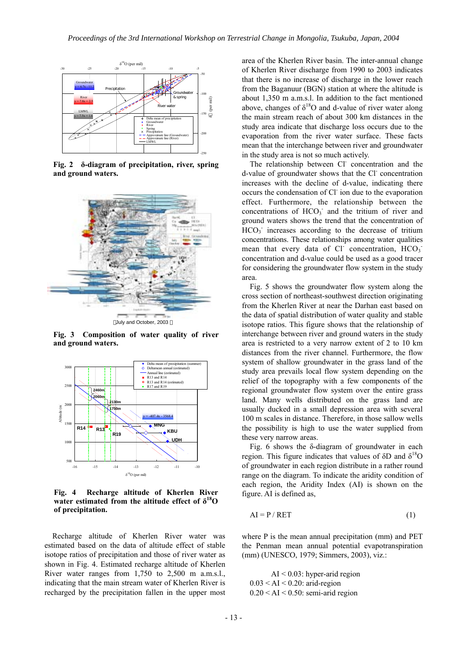

**Fig. 2 δ-diagram of precipitation, river, spring and ground waters.** 



July and October, 2003

**Fig. 3 Composition of water quality of river and ground waters.** 



**Fig. 4 Recharge altitude of Kherlen River**  water estimated from the altitude effect of  $\delta^{18}$ O **of precipitation.** 

Recharge altitude of Kherlen River water was estimated based on the data of altitude effect of stable isotope ratios of precipitation and those of river water as shown in Fig. 4. Estimated recharge altitude of Kherlen River water ranges from 1,750 to 2,500 m a.m.s.l., indicating that the main stream water of Kherlen River is recharged by the precipitation fallen in the upper most

area of the Kherlen River basin. The inter-annual change of Kherlen River discharge from 1990 to 2003 indicates that there is no increase of discharge in the lower reach from the Baganuur (BGN) station at where the altitude is about 1,350 m a.m.s.l. In addition to the fact mentioned above, changes of  $\delta^{18}$ O and d-value of river water along the main stream reach of about 300 km distances in the study area indicate that discharge loss occurs due to the evaporation from the river water surface. These facts mean that the interchange between river and groundwater in the study area is not so much actively.

The relationship between Cl<sup>-</sup> concentration and the d-value of groundwater shows that the Cl concentration increases with the decline of d-value, indicating there occurs the condensation of Cl- ion due to the evaporation effect. Furthermore, the relationship between the concentrations of  $HCO<sub>3</sub>$  and the tritium of river and ground waters shows the trend that the concentration of HCO<sub>3</sub> increases according to the decrease of tritium concentrations. These relationships among water qualities mean that every data of Cl concentration,  $HCO<sub>3</sub>$ concentration and d-value could be used as a good tracer for considering the groundwater flow system in the study area.

Fig. 5 shows the groundwater flow system along the cross section of northeast-southwest direction originating from the Kherlen River at near the Darhan east based on the data of spatial distribution of water quality and stable isotope ratios. This figure shows that the relationship of interchange between river and ground waters in the study area is restricted to a very narrow extent of 2 to 10 km distances from the river channel. Furthermore, the flow system of shallow groundwater in the grass land of the study area prevails local flow system depending on the relief of the topography with a few components of the regional groundwater flow system over the entire grass land. Many wells distributed on the grass land are usually ducked in a small depression area with several 100 m scales in distance. Therefore, in those sallow wells the possibility is high to use the water supplied from these very narrow areas.

Fig. 6 shows the  $\delta$ -diagram of groundwater in each region. This figure indicates that values of  $δD$  and  $δ<sup>18</sup>O$ of groundwater in each region distribute in a rather round range on the diagram. To indicate the aridity condition of each region, the Aridity Index (AI) is shown on the figure. AI is defined as,

$$
AI = P / RET
$$
 (1)

where P is the mean annual precipitation (mm) and PET the Penman mean annual potential evapotranspiration (mm) (UNESCO, 1979; Simmers, 2003), viz.:

AI < 0.03: hyper-arid region  $0.03 < AI < 0.20$ : arid-region  $0.20 < AI < 0.50$ : semi-arid region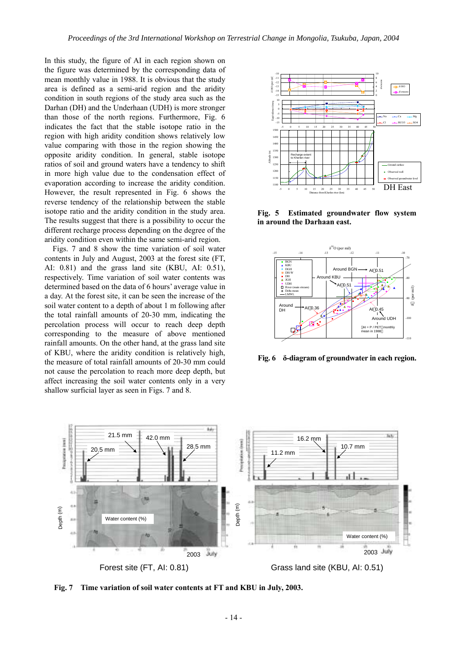In this study, the figure of AI in each region shown on the figure was determined by the corresponding data of mean monthly value in 1988. It is obvious that the study area is defined as a semi-arid region and the aridity condition in south regions of the study area such as the Darhan (DH) and the Underhaan (UDH) is more stronger than those of the north regions. Furthermore, Fig. 6 indicates the fact that the stable isotope ratio in the region with high aridity condition shows relatively low value comparing with those in the region showing the opposite aridity condition. In general, stable isotope ratios of soil and ground waters have a tendency to shift in more high value due to the condensation effect of evaporation according to increase the aridity condition. However, the result represented in Fig. 6 shows the reverse tendency of the relationship between the stable isotope ratio and the aridity condition in the study area. The results suggest that there is a possibility to occur the different recharge process depending on the degree of the aridity condition even within the same semi-arid region.

Figs. 7 and 8 show the time variation of soil water contents in July and August, 2003 at the forest site (FT, AI: 0.81) and the grass land site (KBU, AI: 0.51), respectively. Time variation of soil water contents was determined based on the data of 6 hours' average value in a day. At the forest site, it can be seen the increase of the soil water content to a depth of about 1 m following after the total rainfall amounts of 20-30 mm, indicating the percolation process will occur to reach deep depth corresponding to the measure of above mentioned rainfall amounts. On the other hand, at the grass land site of KBU, where the aridity condition is relatively high, the measure of total rainfall amounts of 20-30 mm could not cause the percolation to reach more deep depth, but affect increasing the soil water contents only in a very shallow surficial layer as seen in Figs. 7 and 8.



**Fig. 5 Estimated groundwater flow system in around the Darhaan east.** 



**Fig. 6 δ-diagram of groundwater in each region.**



**Fig. 7 Time variation of soil water contents at FT and KBU in July, 2003.**